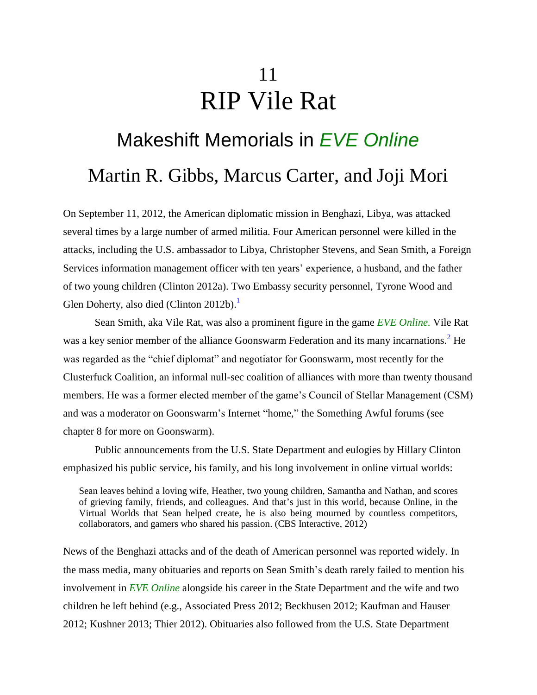## 11 RIP Vile Rat

# Makeshift Memorials in *EVE Online* Martin R. Gibbs, Marcus Carter, and Joji Mori

On September 11, 2012, the American diplomatic mission in Benghazi, Libya, was attacked several times by a large number of armed militia. Four American personnel were killed in the attacks, including the U.S. ambassador to Libya, Christopher Stevens, and Sean Smith, a Foreign Services information management officer with ten years' experience, a husband, and the father of two young children (Clinton 2012a). Two Embassy security personnel, Tyrone Wood and Glen Doherty, also died (Clinton 2012b).<sup>1</sup>

Sean Smith, aka Vile Rat, was also a prominent figure in the game *EVE Online.* Vile Rat was a key senior member of the alliance Goonswarm Federation and its many incarnations.<sup>2</sup> He was regarded as the "chief diplomat" and negotiator for Goonswarm, most recently for the Clusterfuck Coalition, an informal null-sec coalition of alliances with more than twenty thousand members. He was a former elected member of the game's Council of Stellar Management (CSM) and was a moderator on Goonswarm's Internet "home," the Something Awful forums (see chapter 8 for more on Goonswarm).

Public announcements from the U.S. State Department and eulogies by Hillary Clinton emphasized his public service, his family, and his long involvement in online virtual worlds:

Sean leaves behind a loving wife, Heather, two young children, Samantha and Nathan, and scores of grieving family, friends, and colleagues. And that's just in this world, because Online, in the Virtual Worlds that Sean helped create, he is also being mourned by countless competitors, collaborators, and gamers who shared his passion. (CBS Interactive, 2012)

News of the Benghazi attacks and of the death of American personnel was reported widely. In the mass media, many obituaries and reports on Sean Smith's death rarely failed to mention his involvement in *EVE Online* alongside his career in the State Department and the wife and two children he left behind (e.g., Associated Press 2012; Beckhusen 2012; Kaufman and Hauser 2012; Kushner 2013; Thier 2012). Obituaries also followed from the U.S. State Department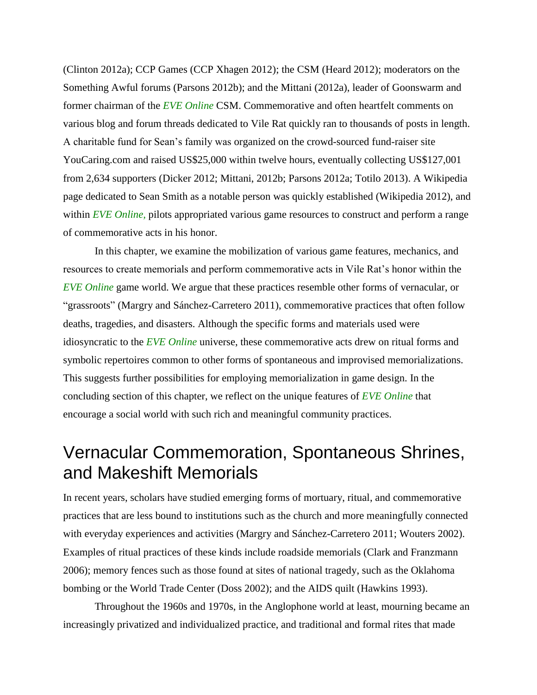(Clinton 2012a); CCP Games (CCP Xhagen 2012); the CSM (Heard 2012); moderators on the Something Awful forums (Parsons 2012b); and the Mittani (2012a), leader of Goonswarm and former chairman of the *EVE Online* CSM. Commemorative and often heartfelt comments on various blog and forum threads dedicated to Vile Rat quickly ran to thousands of posts in length. A charitable fund for Sean's family was organized on the crowd-sourced fund-raiser site YouCaring.com and raised US\$25,000 within twelve hours, eventually collecting US\$127,001 from 2,634 supporters (Dicker 2012; Mittani, 2012b; Parsons 2012a; Totilo 2013). A Wikipedia page dedicated to Sean Smith as a notable person was quickly established (Wikipedia 2012), and within *EVE Online,* pilots appropriated various game resources to construct and perform a range of commemorative acts in his honor.

In this chapter, we examine the mobilization of various game features, mechanics, and resources to create memorials and perform commemorative acts in Vile Rat's honor within the *EVE Online* game world. We argue that these practices resemble other forms of vernacular, or "grassroots" (Margry and Sánchez-Carretero 2011), commemorative practices that often follow deaths, tragedies, and disasters. Although the specific forms and materials used were idiosyncratic to the *EVE Online* universe, these commemorative acts drew on ritual forms and symbolic repertoires common to other forms of spontaneous and improvised memorializations. This suggests further possibilities for employing memorialization in game design. In the concluding section of this chapter, we reflect on the unique features of *EVE Online* that encourage a social world with such rich and meaningful community practices.

### Vernacular Commemoration, Spontaneous Shrines, and Makeshift Memorials

In recent years, scholars have studied emerging forms of mortuary, ritual, and commemorative practices that are less bound to institutions such as the church and more meaningfully connected with everyday experiences and activities (Margry and Sánchez-Carretero 2011; Wouters 2002). Examples of ritual practices of these kinds include roadside memorials (Clark and Franzmann 2006); memory fences such as those found at sites of national tragedy, such as the Oklahoma bombing or the World Trade Center (Doss 2002); and the AIDS quilt (Hawkins 1993).

Throughout the 1960s and 1970s, in the Anglophone world at least, mourning became an increasingly privatized and individualized practice, and traditional and formal rites that made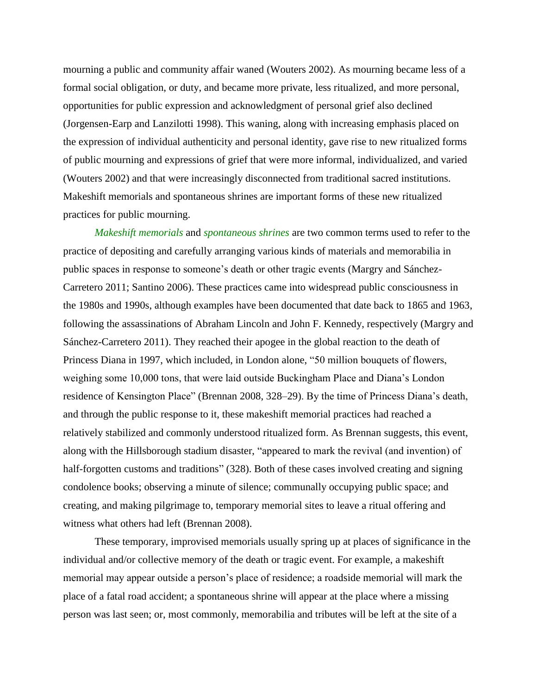mourning a public and community affair waned (Wouters 2002). As mourning became less of a formal social obligation, or duty, and became more private, less ritualized, and more personal, opportunities for public expression and acknowledgment of personal grief also declined (Jorgensen-Earp and Lanzilotti 1998). This waning, along with increasing emphasis placed on the expression of individual authenticity and personal identity, gave rise to new ritualized forms of public mourning and expressions of grief that were more informal, individualized, and varied (Wouters 2002) and that were increasingly disconnected from traditional sacred institutions. Makeshift memorials and spontaneous shrines are important forms of these new ritualized practices for public mourning.

*Makeshift memorials* and *spontaneous shrines* are two common terms used to refer to the practice of depositing and carefully arranging various kinds of materials and memorabilia in public spaces in response to someone's death or other tragic events (Margry and Sánchez-Carretero 2011; Santino 2006). These practices came into widespread public consciousness in the 1980s and 1990s, although examples have been documented that date back to 1865 and 1963, following the assassinations of Abraham Lincoln and John F. Kennedy, respectively (Margry and Sánchez-Carretero 2011). They reached their apogee in the global reaction to the death of Princess Diana in 1997, which included, in London alone, "50 million bouquets of flowers, weighing some 10,000 tons, that were laid outside Buckingham Place and Diana's London residence of Kensington Place" (Brennan 2008, 328–29). By the time of Princess Diana's death, and through the public response to it, these makeshift memorial practices had reached a relatively stabilized and commonly understood ritualized form. As Brennan suggests, this event, along with the Hillsborough stadium disaster, "appeared to mark the revival (and invention) of half-forgotten customs and traditions" (328). Both of these cases involved creating and signing condolence books; observing a minute of silence; communally occupying public space; and creating, and making pilgrimage to, temporary memorial sites to leave a ritual offering and witness what others had left (Brennan 2008).

These temporary, improvised memorials usually spring up at places of significance in the individual and/or collective memory of the death or tragic event. For example, a makeshift memorial may appear outside a person's place of residence; a roadside memorial will mark the place of a fatal road accident; a spontaneous shrine will appear at the place where a missing person was last seen; or, most commonly, memorabilia and tributes will be left at the site of a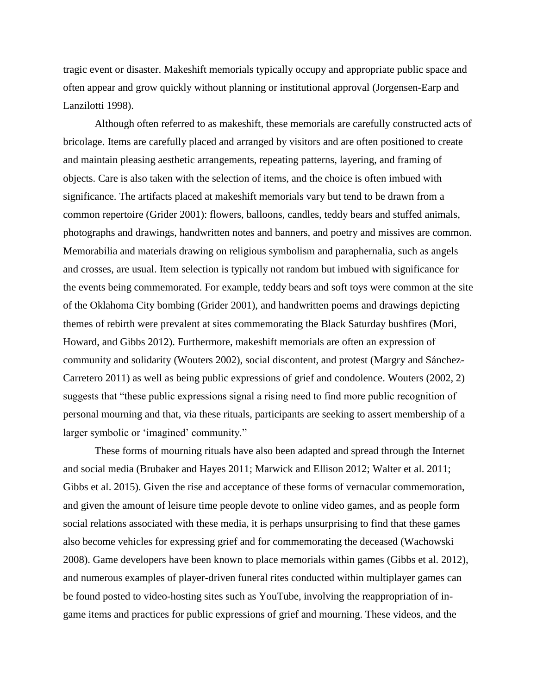tragic event or disaster. Makeshift memorials typically occupy and appropriate public space and often appear and grow quickly without planning or institutional approval (Jorgensen-Earp and Lanzilotti 1998).

Although often referred to as makeshift, these memorials are carefully constructed acts of bricolage. Items are carefully placed and arranged by visitors and are often positioned to create and maintain pleasing aesthetic arrangements, repeating patterns, layering, and framing of objects. Care is also taken with the selection of items, and the choice is often imbued with significance. The artifacts placed at makeshift memorials vary but tend to be drawn from a common repertoire (Grider 2001): flowers, balloons, candles, teddy bears and stuffed animals, photographs and drawings, handwritten notes and banners, and poetry and missives are common. Memorabilia and materials drawing on religious symbolism and paraphernalia, such as angels and crosses, are usual. Item selection is typically not random but imbued with significance for the events being commemorated. For example, teddy bears and soft toys were common at the site of the Oklahoma City bombing (Grider 2001), and handwritten poems and drawings depicting themes of rebirth were prevalent at sites commemorating the Black Saturday bushfires (Mori, Howard, and Gibbs 2012). Furthermore, makeshift memorials are often an expression of community and solidarity (Wouters 2002), social discontent, and protest (Margry and Sánchez-Carretero 2011) as well as being public expressions of grief and condolence. Wouters (2002, 2) suggests that "these public expressions signal a rising need to find more public recognition of personal mourning and that, via these rituals, participants are seeking to assert membership of a larger symbolic or 'imagined' community."

These forms of mourning rituals have also been adapted and spread through the Internet and social media (Brubaker and Hayes 2011; Marwick and Ellison 2012; Walter et al. 2011; Gibbs et al. 2015). Given the rise and acceptance of these forms of vernacular commemoration, and given the amount of leisure time people devote to online video games, and as people form social relations associated with these media, it is perhaps unsurprising to find that these games also become vehicles for expressing grief and for commemorating the deceased (Wachowski 2008). Game developers have been known to place memorials within games (Gibbs et al. 2012), and numerous examples of player-driven funeral rites conducted within multiplayer games can be found posted to video-hosting sites such as YouTube, involving the reappropriation of ingame items and practices for public expressions of grief and mourning. These videos, and the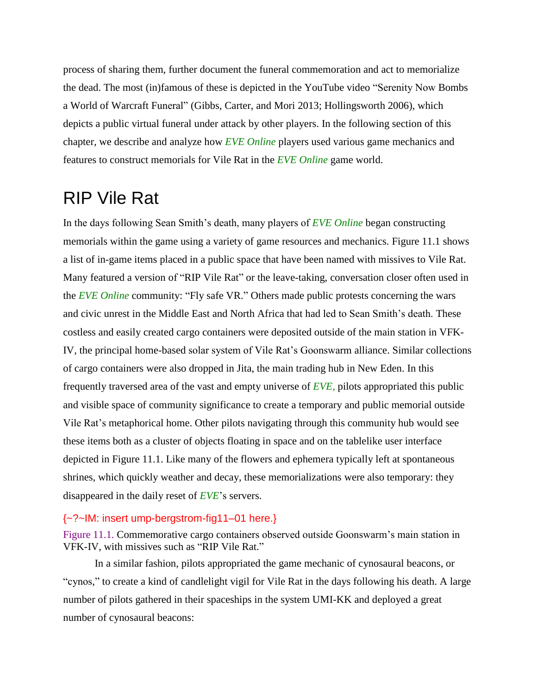process of sharing them, further document the funeral commemoration and act to memorialize the dead. The most (in)famous of these is depicted in the YouTube video "Serenity Now Bombs a World of Warcraft Funeral" (Gibbs, Carter, and Mori 2013; Hollingsworth 2006), which depicts a public virtual funeral under attack by other players. In the following section of this chapter, we describe and analyze how *EVE Online* players used various game mechanics and features to construct memorials for Vile Rat in the *EVE Online* game world.

### RIP Vile Rat

In the days following Sean Smith's death, many players of *EVE Online* began constructing memorials within the game using a variety of game resources and mechanics. Figure 11.1 shows a list of in-game items placed in a public space that have been named with missives to Vile Rat. Many featured a version of "RIP Vile Rat" or the leave-taking, conversation closer often used in the *EVE Online* community: "Fly safe VR." Others made public protests concerning the wars and civic unrest in the Middle East and North Africa that had led to Sean Smith's death. These costless and easily created cargo containers were deposited outside of the main station in VFK-IV, the principal home-based solar system of Vile Rat's Goonswarm alliance. Similar collections of cargo containers were also dropped in Jita, the main trading hub in New Eden. In this frequently traversed area of the vast and empty universe of *EVE,* pilots appropriated this public and visible space of community significance to create a temporary and public memorial outside Vile Rat's metaphorical home. Other pilots navigating through this community hub would see these items both as a cluster of objects floating in space and on the tablelike user interface depicted in Figure 11.1. Like many of the flowers and ephemera typically left at spontaneous shrines, which quickly weather and decay, these memorializations were also temporary: they disappeared in the daily reset of *EVE*'s servers.

#### {~?~IM: insert ump-bergstrom-fig11–01 here.}

Figure 11.1. Commemorative cargo containers observed outside Goonswarm's main station in VFK-IV, with missives such as "RIP Vile Rat."

In a similar fashion, pilots appropriated the game mechanic of cynosaural beacons, or "cynos," to create a kind of candlelight vigil for Vile Rat in the days following his death. A large number of pilots gathered in their spaceships in the system UMI-KK and deployed a great number of cynosaural beacons: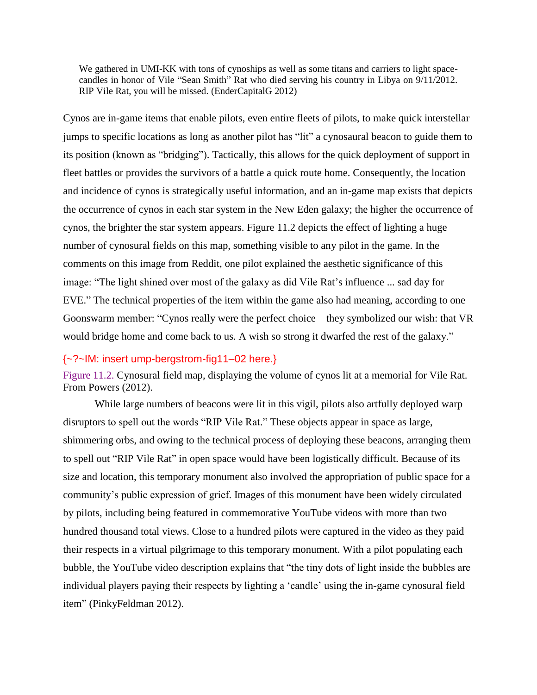We gathered in UMI-KK with tons of cynoships as well as some titans and carriers to light spacecandles in honor of Vile "Sean Smith" Rat who died serving his country in Libya on 9/11/2012. RIP Vile Rat, you will be missed. (EnderCapitalG 2012)

Cynos are in-game items that enable pilots, even entire fleets of pilots, to make quick interstellar jumps to specific locations as long as another pilot has "lit" a cynosaural beacon to guide them to its position (known as "bridging"). Tactically, this allows for the quick deployment of support in fleet battles or provides the survivors of a battle a quick route home. Consequently, the location and incidence of cynos is strategically useful information, and an in-game map exists that depicts the occurrence of cynos in each star system in the New Eden galaxy; the higher the occurrence of cynos, the brighter the star system appears. Figure 11.2 depicts the effect of lighting a huge number of cynosural fields on this map, something visible to any pilot in the game. In the comments on this image from Reddit, one pilot explained the aesthetic significance of this image: "The light shined over most of the galaxy as did Vile Rat's influence ... sad day for EVE." The technical properties of the item within the game also had meaning, according to one Goonswarm member: "Cynos really were the perfect choice—they symbolized our wish: that VR would bridge home and come back to us. A wish so strong it dwarfed the rest of the galaxy."

#### {~?~IM: insert ump-bergstrom-fig11–02 here.}

Figure 11.2. Cynosural field map, displaying the volume of cynos lit at a memorial for Vile Rat. From Powers (2012).

While large numbers of beacons were lit in this vigil, pilots also artfully deployed warp disruptors to spell out the words "RIP Vile Rat." These objects appear in space as large, shimmering orbs, and owing to the technical process of deploying these beacons, arranging them to spell out "RIP Vile Rat" in open space would have been logistically difficult. Because of its size and location, this temporary monument also involved the appropriation of public space for a community's public expression of grief. Images of this monument have been widely circulated by pilots, including being featured in commemorative YouTube videos with more than two hundred thousand total views. Close to a hundred pilots were captured in the video as they paid their respects in a virtual pilgrimage to this temporary monument. With a pilot populating each bubble, the YouTube video description explains that "the tiny dots of light inside the bubbles are individual players paying their respects by lighting a 'candle' using the in-game cynosural field item" (PinkyFeldman 2012).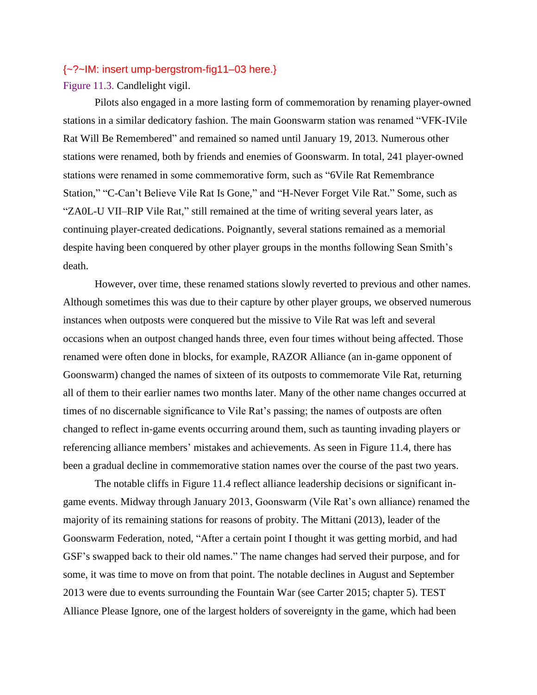#### {~?~IM: insert ump-bergstrom-fig11–03 here.}

Figure 11.3. Candlelight vigil.

Pilots also engaged in a more lasting form of commemoration by renaming player-owned stations in a similar dedicatory fashion. The main Goonswarm station was renamed "VFK-IVile Rat Will Be Remembered" and remained so named until January 19, 2013. Numerous other stations were renamed, both by friends and enemies of Goonswarm. In total, 241 player-owned stations were renamed in some commemorative form, such as "6Vile Rat Remembrance Station," "C-Can't Believe Vile Rat Is Gone," and "H-Never Forget Vile Rat." Some, such as "ZA0L-U VII–RIP Vile Rat," still remained at the time of writing several years later, as continuing player-created dedications. Poignantly, several stations remained as a memorial despite having been conquered by other player groups in the months following Sean Smith's death.

However, over time, these renamed stations slowly reverted to previous and other names. Although sometimes this was due to their capture by other player groups, we observed numerous instances when outposts were conquered but the missive to Vile Rat was left and several occasions when an outpost changed hands three, even four times without being affected. Those renamed were often done in blocks, for example, RAZOR Alliance (an in-game opponent of Goonswarm) changed the names of sixteen of its outposts to commemorate Vile Rat, returning all of them to their earlier names two months later. Many of the other name changes occurred at times of no discernable significance to Vile Rat's passing; the names of outposts are often changed to reflect in-game events occurring around them, such as taunting invading players or referencing alliance members' mistakes and achievements. As seen in Figure 11.4, there has been a gradual decline in commemorative station names over the course of the past two years.

The notable cliffs in Figure 11.4 reflect alliance leadership decisions or significant ingame events. Midway through January 2013, Goonswarm (Vile Rat's own alliance) renamed the majority of its remaining stations for reasons of probity. The Mittani (2013), leader of the Goonswarm Federation, noted, "After a certain point I thought it was getting morbid, and had GSF's swapped back to their old names." The name changes had served their purpose, and for some, it was time to move on from that point. The notable declines in August and September 2013 were due to events surrounding the Fountain War (see Carter 2015; chapter 5). TEST Alliance Please Ignore, one of the largest holders of sovereignty in the game, which had been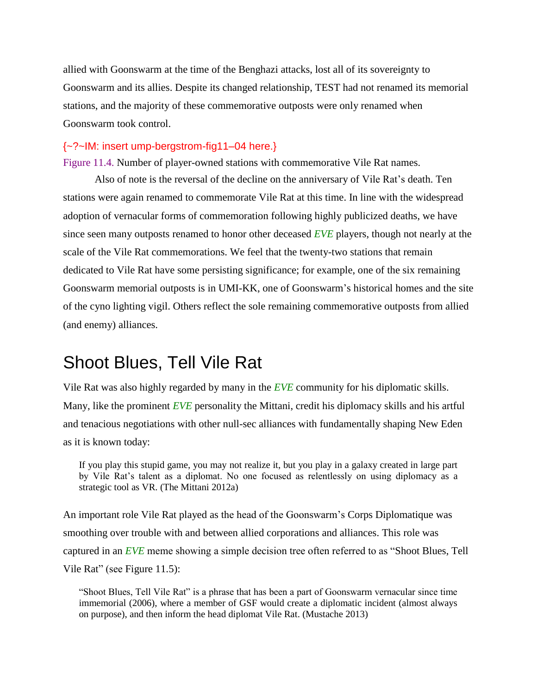allied with Goonswarm at the time of the Benghazi attacks, lost all of its sovereignty to Goonswarm and its allies. Despite its changed relationship, TEST had not renamed its memorial stations, and the majority of these commemorative outposts were only renamed when Goonswarm took control.

#### {~?~IM: insert ump-bergstrom-fig11–04 here.}

Figure 11.4. Number of player-owned stations with commemorative Vile Rat names.

Also of note is the reversal of the decline on the anniversary of Vile Rat's death. Ten stations were again renamed to commemorate Vile Rat at this time. In line with the widespread adoption of vernacular forms of commemoration following highly publicized deaths, we have since seen many outposts renamed to honor other deceased *EVE* players, though not nearly at the scale of the Vile Rat commemorations. We feel that the twenty-two stations that remain dedicated to Vile Rat have some persisting significance; for example, one of the six remaining Goonswarm memorial outposts is in UMI-KK, one of Goonswarm's historical homes and the site of the cyno lighting vigil. Others reflect the sole remaining commemorative outposts from allied (and enemy) alliances.

### Shoot Blues, Tell Vile Rat

Vile Rat was also highly regarded by many in the *EVE* community for his diplomatic skills. Many, like the prominent *EVE* personality the Mittani, credit his diplomacy skills and his artful and tenacious negotiations with other null-sec alliances with fundamentally shaping New Eden as it is known today:

If you play this stupid game, you may not realize it, but you play in a galaxy created in large part by Vile Rat's talent as a diplomat. No one focused as relentlessly on using diplomacy as a strategic tool as VR. (The Mittani 2012a)

An important role Vile Rat played as the head of the Goonswarm's Corps Diplomatique was smoothing over trouble with and between allied corporations and alliances. This role was captured in an *EVE* meme showing a simple decision tree often referred to as "Shoot Blues, Tell Vile Rat" (see Figure 11.5):

"Shoot Blues, Tell Vile Rat" is a phrase that has been a part of Goonswarm vernacular since time immemorial (2006), where a member of GSF would create a diplomatic incident (almost always on purpose), and then inform the head diplomat Vile Rat. (Mustache 2013)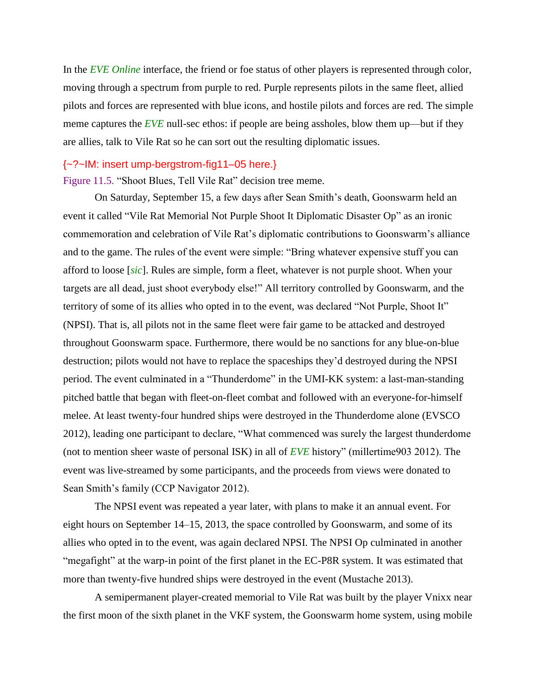In the *EVE Online* interface, the friend or foe status of other players is represented through color, moving through a spectrum from purple to red. Purple represents pilots in the same fleet, allied pilots and forces are represented with blue icons, and hostile pilots and forces are red. The simple meme captures the *EVE* null-sec ethos: if people are being assholes, blow them up—but if they are allies, talk to Vile Rat so he can sort out the resulting diplomatic issues.

#### {~?~IM: insert ump-bergstrom-fig11–05 here.}

Figure 11.5. "Shoot Blues, Tell Vile Rat" decision tree meme.

On Saturday, September 15, a few days after Sean Smith's death, Goonswarm held an event it called "Vile Rat Memorial Not Purple Shoot It Diplomatic Disaster Op" as an ironic commemoration and celebration of Vile Rat's diplomatic contributions to Goonswarm's alliance and to the game. The rules of the event were simple: "Bring whatever expensive stuff you can afford to loose [*sic*]. Rules are simple, form a fleet, whatever is not purple shoot. When your targets are all dead, just shoot everybody else!" All territory controlled by Goonswarm, and the territory of some of its allies who opted in to the event, was declared "Not Purple, Shoot It" (NPSI). That is, all pilots not in the same fleet were fair game to be attacked and destroyed throughout Goonswarm space. Furthermore, there would be no sanctions for any blue-on-blue destruction; pilots would not have to replace the spaceships they'd destroyed during the NPSI period. The event culminated in a "Thunderdome" in the UMI-KK system: a last-man-standing pitched battle that began with fleet-on-fleet combat and followed with an everyone-for-himself melee. At least twenty-four hundred ships were destroyed in the Thunderdome alone (EVSCO 2012), leading one participant to declare, "What commenced was surely the largest thunderdome (not to mention sheer waste of personal ISK) in all of *EVE* history" (millertime903 2012). The event was live-streamed by some participants, and the proceeds from views were donated to Sean Smith's family (CCP Navigator 2012).

The NPSI event was repeated a year later, with plans to make it an annual event. For eight hours on September 14–15, 2013, the space controlled by Goonswarm, and some of its allies who opted in to the event, was again declared NPSI. The NPSI Op culminated in another "megafight" at the warp-in point of the first planet in the EC-P8R system. It was estimated that more than twenty-five hundred ships were destroyed in the event (Mustache 2013).

A semipermanent player-created memorial to Vile Rat was built by the player Vnixx near the first moon of the sixth planet in the VKF system, the Goonswarm home system, using mobile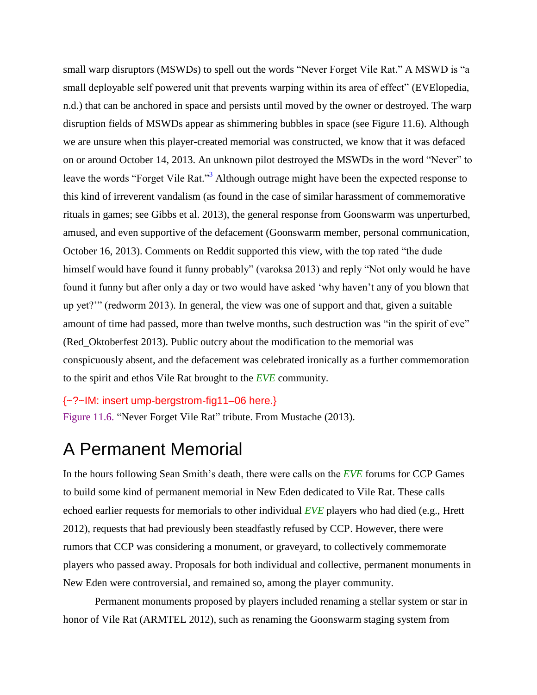small warp disruptors (MSWDs) to spell out the words "Never Forget Vile Rat." A MSWD is "a small deployable self powered unit that prevents warping within its area of effect" (EVElopedia, n.d.) that can be anchored in space and persists until moved by the owner or destroyed. The warp disruption fields of MSWDs appear as shimmering bubbles in space (see Figure 11.6). Although we are unsure when this player-created memorial was constructed, we know that it was defaced on or around October 14, 2013. An unknown pilot destroyed the MSWDs in the word "Never" to leave the words "Forget Vile Rat."<sup>3</sup> Although outrage might have been the expected response to this kind of irreverent vandalism (as found in the case of similar harassment of commemorative rituals in games; see Gibbs et al. 2013), the general response from Goonswarm was unperturbed, amused, and even supportive of the defacement (Goonswarm member, personal communication, October 16, 2013). Comments on Reddit supported this view, with the top rated "the dude himself would have found it funny probably" (varoksa 2013) and reply "Not only would he have found it funny but after only a day or two would have asked 'why haven't any of you blown that up yet?'" (redworm 2013). In general, the view was one of support and that, given a suitable amount of time had passed, more than twelve months, such destruction was "in the spirit of eve" (Red\_Oktoberfest 2013). Public outcry about the modification to the memorial was conspicuously absent, and the defacement was celebrated ironically as a further commemoration to the spirit and ethos Vile Rat brought to the *EVE* community.

{~?~IM: insert ump-bergstrom-fig11–06 here.}

Figure 11.6. "Never Forget Vile Rat" tribute. From Mustache (2013).

### A Permanent Memorial

In the hours following Sean Smith's death, there were calls on the *EVE* forums for CCP Games to build some kind of permanent memorial in New Eden dedicated to Vile Rat. These calls echoed earlier requests for memorials to other individual *EVE* players who had died (e.g., Hrett 2012), requests that had previously been steadfastly refused by CCP. However, there were rumors that CCP was considering a monument, or graveyard, to collectively commemorate players who passed away. Proposals for both individual and collective, permanent monuments in New Eden were controversial, and remained so, among the player community.

Permanent monuments proposed by players included renaming a stellar system or star in honor of Vile Rat (ARMTEL 2012), such as renaming the Goonswarm staging system from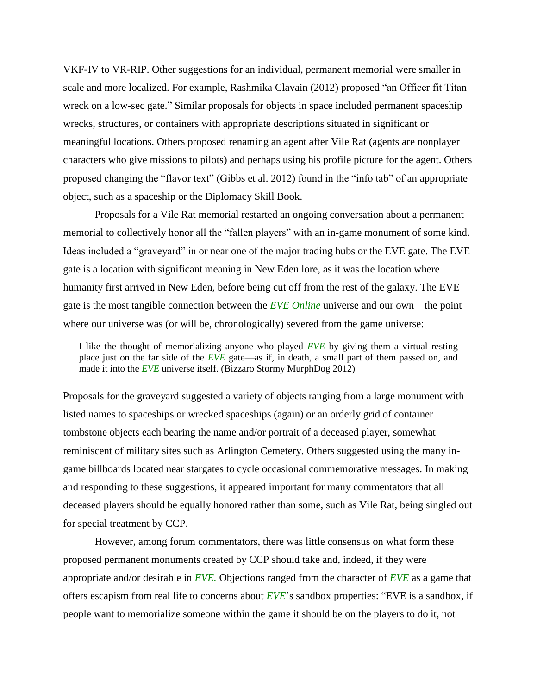VKF-IV to VR-RIP. Other suggestions for an individual, permanent memorial were smaller in scale and more localized. For example, Rashmika Clavain (2012) proposed "an Officer fit Titan wreck on a low-sec gate." Similar proposals for objects in space included permanent spaceship wrecks, structures, or containers with appropriate descriptions situated in significant or meaningful locations. Others proposed renaming an agent after Vile Rat (agents are nonplayer characters who give missions to pilots) and perhaps using his profile picture for the agent. Others proposed changing the "flavor text" (Gibbs et al. 2012) found in the "info tab" of an appropriate object, such as a spaceship or the Diplomacy Skill Book.

Proposals for a Vile Rat memorial restarted an ongoing conversation about a permanent memorial to collectively honor all the "fallen players" with an in-game monument of some kind. Ideas included a "graveyard" in or near one of the major trading hubs or the EVE gate. The EVE gate is a location with significant meaning in New Eden lore, as it was the location where humanity first arrived in New Eden, before being cut off from the rest of the galaxy. The EVE gate is the most tangible connection between the *EVE Online* universe and our own—the point where our universe was (or will be, chronologically) severed from the game universe:

I like the thought of memorializing anyone who played *EVE* by giving them a virtual resting place just on the far side of the *EVE* gate—as if, in death, a small part of them passed on, and made it into the *EVE* universe itself. (Bizzaro Stormy MurphDog 2012)

Proposals for the graveyard suggested a variety of objects ranging from a large monument with listed names to spaceships or wrecked spaceships (again) or an orderly grid of container– tombstone objects each bearing the name and/or portrait of a deceased player, somewhat reminiscent of military sites such as Arlington Cemetery. Others suggested using the many ingame billboards located near stargates to cycle occasional commemorative messages. In making and responding to these suggestions, it appeared important for many commentators that all deceased players should be equally honored rather than some, such as Vile Rat, being singled out for special treatment by CCP.

However, among forum commentators, there was little consensus on what form these proposed permanent monuments created by CCP should take and, indeed, if they were appropriate and/or desirable in *EVE.* Objections ranged from the character of *EVE* as a game that offers escapism from real life to concerns about *EVE*'s sandbox properties: "EVE is a sandbox, if people want to memorialize someone within the game it should be on the players to do it, not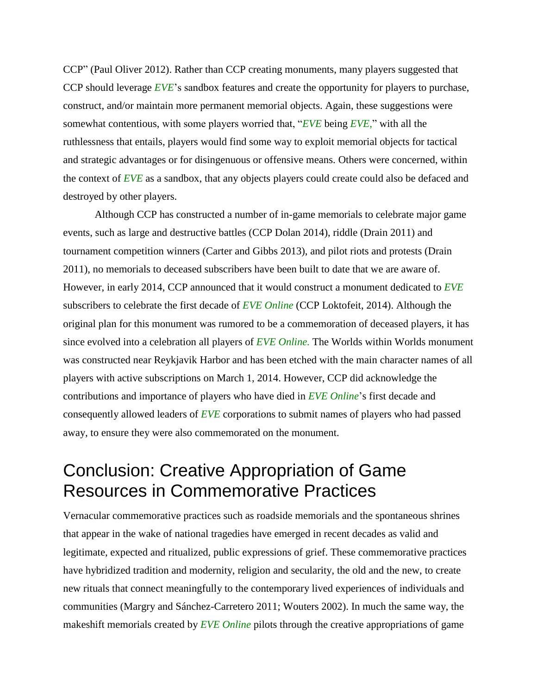CCP" (Paul Oliver 2012). Rather than CCP creating monuments, many players suggested that CCP should leverage *EVE*'s sandbox features and create the opportunity for players to purchase, construct, and/or maintain more permanent memorial objects. Again, these suggestions were somewhat contentious, with some players worried that, "*EVE* being *EVE,*" with all the ruthlessness that entails, players would find some way to exploit memorial objects for tactical and strategic advantages or for disingenuous or offensive means. Others were concerned, within the context of *EVE* as a sandbox, that any objects players could create could also be defaced and destroyed by other players.

Although CCP has constructed a number of in-game memorials to celebrate major game events, such as large and destructive battles (CCP Dolan 2014), riddle (Drain 2011) and tournament competition winners (Carter and Gibbs 2013), and pilot riots and protests (Drain 2011), no memorials to deceased subscribers have been built to date that we are aware of. However, in early 2014, CCP announced that it would construct a monument dedicated to *EVE* subscribers to celebrate the first decade of *EVE Online* (CCP Loktofeit, 2014). Although the original plan for this monument was rumored to be a commemoration of deceased players, it has since evolved into a celebration all players of *EVE Online.* The Worlds within Worlds monument was constructed near Reykjavik Harbor and has been etched with the main character names of all players with active subscriptions on March 1, 2014. However, CCP did acknowledge the contributions and importance of players who have died in *EVE Online*'s first decade and consequently allowed leaders of *EVE* corporations to submit names of players who had passed away, to ensure they were also commemorated on the monument.

### Conclusion: Creative Appropriation of Game Resources in Commemorative Practices

Vernacular commemorative practices such as roadside memorials and the spontaneous shrines that appear in the wake of national tragedies have emerged in recent decades as valid and legitimate, expected and ritualized, public expressions of grief. These commemorative practices have hybridized tradition and modernity, religion and secularity, the old and the new, to create new rituals that connect meaningfully to the contemporary lived experiences of individuals and communities (Margry and Sánchez-Carretero 2011; Wouters 2002). In much the same way, the makeshift memorials created by *EVE Online* pilots through the creative appropriations of game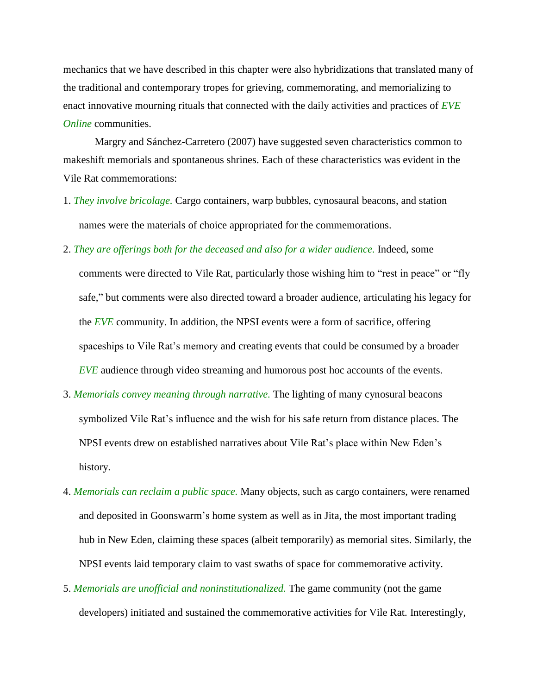mechanics that we have described in this chapter were also hybridizations that translated many of the traditional and contemporary tropes for grieving, commemorating, and memorializing to enact innovative mourning rituals that connected with the daily activities and practices of *EVE Online* communities.

Margry and Sánchez-Carretero (2007) have suggested seven characteristics common to makeshift memorials and spontaneous shrines. Each of these characteristics was evident in the Vile Rat commemorations:

- 1. *They involve bricolage.* Cargo containers, warp bubbles, cynosaural beacons, and station names were the materials of choice appropriated for the commemorations.
- 2. *They are offerings both for the deceased and also for a wider audience.* Indeed, some comments were directed to Vile Rat, particularly those wishing him to "rest in peace" or "fly safe," but comments were also directed toward a broader audience, articulating his legacy for the *EVE* community. In addition, the NPSI events were a form of sacrifice, offering spaceships to Vile Rat's memory and creating events that could be consumed by a broader *EVE* audience through video streaming and humorous post hoc accounts of the events.
- 3. *Memorials convey meaning through narrative.* The lighting of many cynosural beacons symbolized Vile Rat's influence and the wish for his safe return from distance places. The NPSI events drew on established narratives about Vile Rat's place within New Eden's history.
- 4. *Memorials can reclaim a public space.* Many objects, such as cargo containers, were renamed and deposited in Goonswarm's home system as well as in Jita, the most important trading hub in New Eden, claiming these spaces (albeit temporarily) as memorial sites. Similarly, the NPSI events laid temporary claim to vast swaths of space for commemorative activity.
- 5. *Memorials are unofficial and noninstitutionalized.* The game community (not the game developers) initiated and sustained the commemorative activities for Vile Rat. Interestingly,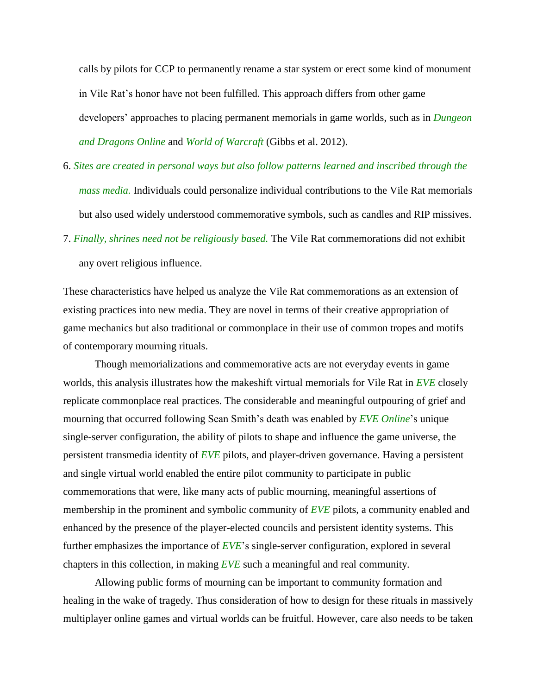calls by pilots for CCP to permanently rename a star system or erect some kind of monument in Vile Rat's honor have not been fulfilled. This approach differs from other game developers' approaches to placing permanent memorials in game worlds, such as in *Dungeon and Dragons Online* and *World of Warcraft* (Gibbs et al. 2012).

- 6. *Sites are created in personal ways but also follow patterns learned and inscribed through the mass media.* Individuals could personalize individual contributions to the Vile Rat memorials but also used widely understood commemorative symbols, such as candles and RIP missives.
- 7. *Finally, shrines need not be religiously based.* The Vile Rat commemorations did not exhibit any overt religious influence.

These characteristics have helped us analyze the Vile Rat commemorations as an extension of existing practices into new media. They are novel in terms of their creative appropriation of game mechanics but also traditional or commonplace in their use of common tropes and motifs of contemporary mourning rituals.

Though memorializations and commemorative acts are not everyday events in game worlds, this analysis illustrates how the makeshift virtual memorials for Vile Rat in *EVE* closely replicate commonplace real practices. The considerable and meaningful outpouring of grief and mourning that occurred following Sean Smith's death was enabled by *EVE Online*'s unique single-server configuration, the ability of pilots to shape and influence the game universe, the persistent transmedia identity of *EVE* pilots, and player-driven governance. Having a persistent and single virtual world enabled the entire pilot community to participate in public commemorations that were, like many acts of public mourning, meaningful assertions of membership in the prominent and symbolic community of *EVE* pilots, a community enabled and enhanced by the presence of the player-elected councils and persistent identity systems. This further emphasizes the importance of *EVE*'s single-server configuration, explored in several chapters in this collection, in making *EVE* such a meaningful and real community.

Allowing public forms of mourning can be important to community formation and healing in the wake of tragedy. Thus consideration of how to design for these rituals in massively multiplayer online games and virtual worlds can be fruitful. However, care also needs to be taken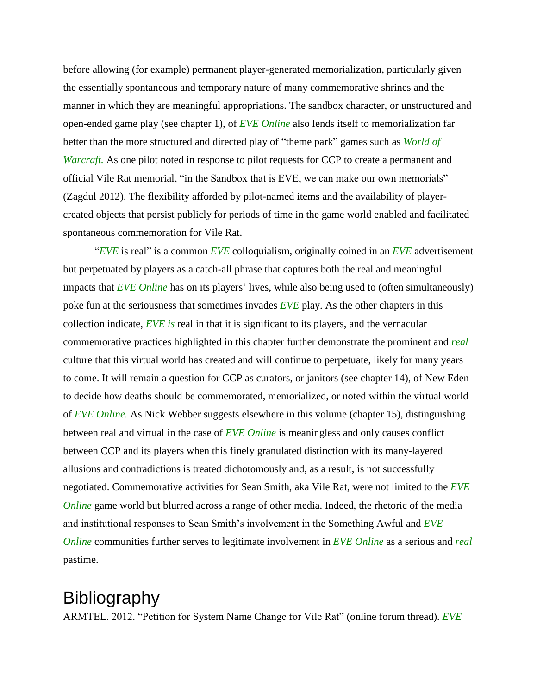before allowing (for example) permanent player-generated memorialization, particularly given the essentially spontaneous and temporary nature of many commemorative shrines and the manner in which they are meaningful appropriations. The sandbox character, or unstructured and open-ended game play (see chapter 1), of *EVE Online* also lends itself to memorialization far better than the more structured and directed play of "theme park" games such as *World of Warcraft.* As one pilot noted in response to pilot requests for CCP to create a permanent and official Vile Rat memorial, "in the Sandbox that is EVE, we can make our own memorials" (Zagdul 2012). The flexibility afforded by pilot-named items and the availability of playercreated objects that persist publicly for periods of time in the game world enabled and facilitated spontaneous commemoration for Vile Rat.

"*EVE* is real" is a common *EVE* colloquialism, originally coined in an *EVE* advertisement but perpetuated by players as a catch-all phrase that captures both the real and meaningful impacts that *EVE Online* has on its players' lives, while also being used to (often simultaneously) poke fun at the seriousness that sometimes invades *EVE* play. As the other chapters in this collection indicate, *EVE is* real in that it is significant to its players, and the vernacular commemorative practices highlighted in this chapter further demonstrate the prominent and *real* culture that this virtual world has created and will continue to perpetuate, likely for many years to come. It will remain a question for CCP as curators, or janitors (see chapter 14), of New Eden to decide how deaths should be commemorated, memorialized, or noted within the virtual world of *EVE Online.* As Nick Webber suggests elsewhere in this volume (chapter 15), distinguishing between real and virtual in the case of *EVE Online* is meaningless and only causes conflict between CCP and its players when this finely granulated distinction with its many-layered allusions and contradictions is treated dichotomously and, as a result, is not successfully negotiated. Commemorative activities for Sean Smith, aka Vile Rat, were not limited to the *EVE Online* game world but blurred across a range of other media. Indeed, the rhetoric of the media and institutional responses to Sean Smith's involvement in the Something Awful and *EVE Online* communities further serves to legitimate involvement in *EVE Online* as a serious and *real* pastime.

### Bibliography

ARMTEL. 2012. "Petition for System Name Change for Vile Rat" (online forum thread). *EVE*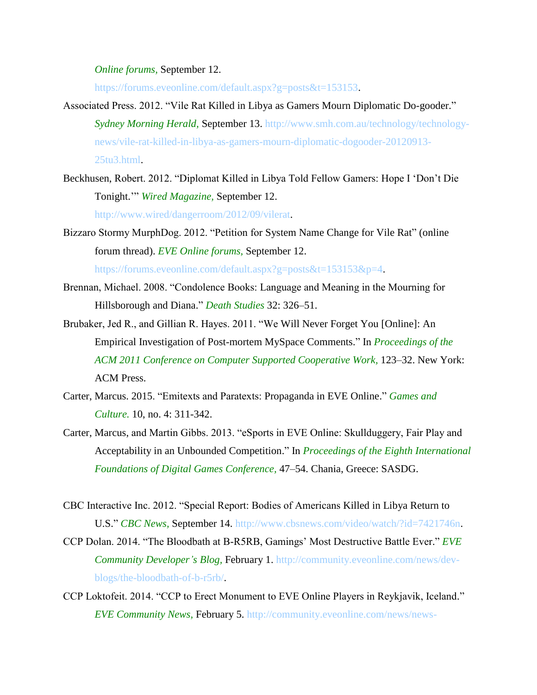*Online forums,* September 12.

https://forums.eveonline.com/default.aspx?g=posts&t=153153.

- Associated Press. 2012. "Vile Rat Killed in Libya as Gamers Mourn Diplomatic Do-gooder." *Sydney Morning Herald,* September 13. http://www.smh.com.au/technology/technologynews/vile-rat-killed-in-libya-as-gamers-mourn-diplomatic-dogooder-20120913- 25tu3.html.
- Beckhusen, Robert. 2012. "Diplomat Killed in Libya Told Fellow Gamers: Hope I 'Don't Die Tonight.'" *Wired Magazine,* September 12.

http://www.wired/dangerroom/2012/09/vilerat.

Bizzaro Stormy MurphDog. 2012. "Petition for System Name Change for Vile Rat" (online forum thread). *EVE Online forums,* September 12.

https://forums.eveonline.com/default.aspx?g=posts&t=153153&p=4.

- Brennan, Michael. 2008. "Condolence Books: Language and Meaning in the Mourning for Hillsborough and Diana." *Death Studies* 32: 326–51.
- Brubaker, Jed R., and Gillian R. Hayes. 2011. "We Will Never Forget You [Online]: An Empirical Investigation of Post-mortem MySpace Comments." In *Proceedings of the ACM 2011 Conference on Computer Supported Cooperative Work,* 123–32. New York: ACM Press.
- Carter, Marcus. 2015. "Emitexts and Paratexts: Propaganda in EVE Online." *Games and Culture.* 10, no. 4: 311-342.
- Carter, Marcus, and Martin Gibbs. 2013. "eSports in EVE Online: Skullduggery, Fair Play and Acceptability in an Unbounded Competition." In *Proceedings of the Eighth International Foundations of Digital Games Conference,* 47–54. Chania, Greece: SASDG.
- CBC Interactive Inc. 2012. "Special Report: Bodies of Americans Killed in Libya Return to U.S." *CBC News,* September 14. http://www.cbsnews.com/video/watch/?id=7421746n.
- CCP Dolan. 2014. "The Bloodbath at B-R5RB, Gamings' Most Destructive Battle Ever." *EVE Community Developer's Blog,* February 1. http://community.eveonline.com/news/devblogs/the-bloodbath-of-b-r5rb/.
- CCP Loktofeit. 2014. "CCP to Erect Monument to EVE Online Players in Reykjavik, Iceland." *EVE Community News,* February 5. http://community.eveonline.com/news/news-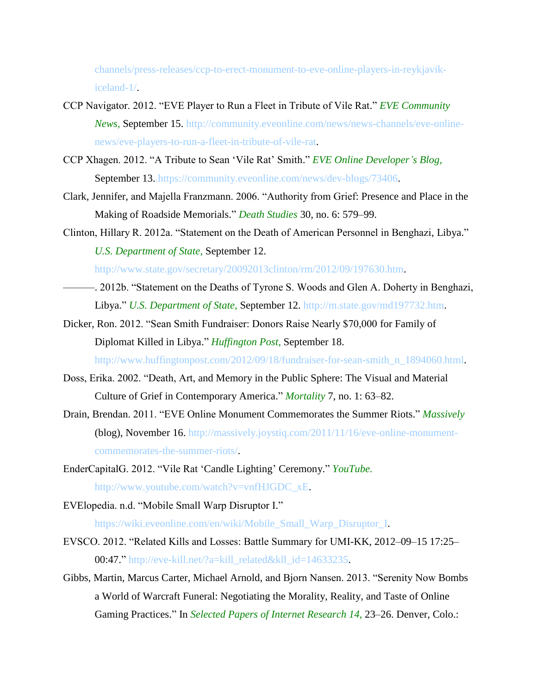channels/press-releases/ccp-to-erect-monument-to-eve-online-players-in-reykjavikiceland-1/.

- CCP Navigator. 2012. "EVE Player to Run a Fleet in Tribute of Vile Rat." *EVE Community News,* September 15. http://community.eveonline.com/news/news-channels/eve-onlinenews/eve-players-to-run-a-fleet-in-tribute-of-vile-rat.
- CCP Xhagen. 2012. "A Tribute to Sean 'Vile Rat' Smith." *EVE Online Developer's Blog,* September 13.https://community.eveonline.com/news/dev-blogs/73406.
- Clark, Jennifer, and Majella Franzmann. 2006. "Authority from Grief: Presence and Place in the Making of Roadside Memorials." *Death Studies* 30, no. 6: 579–99.
- Clinton, Hillary R. 2012a. "Statement on the Death of American Personnel in Benghazi, Libya." *U.S. Department of State,* September 12.

http://www.state.gov/secretary/20092013clinton/rm/2012/09/197630.htm.

- ———. 2012b. "Statement on the Deaths of Tyrone S. Woods and Glen A. Doherty in Benghazi, Libya." *U.S. Department of State,* September 12. http://m.state.gov/md197732.htm.
- Dicker, Ron. 2012. "Sean Smith Fundraiser: Donors Raise Nearly \$70,000 for Family of Diplomat Killed in Libya." *Huffington Post,* September 18. http://www.huffingtonpost.com/2012/09/18/fundraiser-for-sean-smith\_n\_1894060.html.
- Doss, Erika. 2002. "Death, Art, and Memory in the Public Sphere: The Visual and Material Culture of Grief in Contemporary America." *Mortality* 7, no. 1: 63–82.
- Drain, Brendan. 2011. "EVE Online Monument Commemorates the Summer Riots." *Massively* (blog), November 16. http://massively.joystiq.com/2011/11/16/eve-online-monumentcommemorates-the-summer-riots/.
- EnderCapitalG. 2012. "Vile Rat 'Candle Lighting' Ceremony." *YouTube.* http://www.youtube.com/watch?v=vnfHJGDC\_xE.
- EVElopedia. n.d. "Mobile Small Warp Disruptor I." https://wiki.eveonline.com/en/wiki/Mobile\_Small\_Warp\_Disruptor\_I.
- EVSCO. 2012. "Related Kills and Losses: Battle Summary for UMI-KK, 2012–09–15 17:25– 00:47." http://eve-kill.net/?a=kill\_related&kll\_id=14633235.
- Gibbs, Martin, Marcus Carter, Michael Arnold, and Bjorn Nansen. 2013. "Serenity Now Bombs a World of Warcraft Funeral: Negotiating the Morality, Reality, and Taste of Online Gaming Practices." In *Selected Papers of Internet Research 14,* 23–26. Denver, Colo.: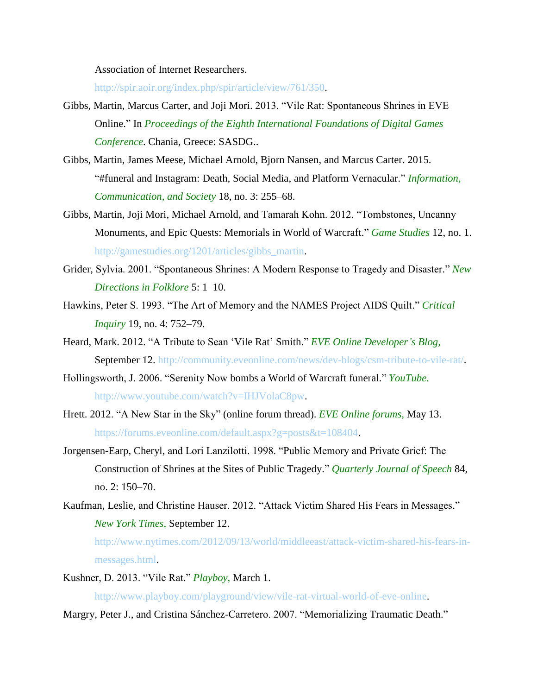Association of Internet Researchers.

http://spir.aoir.org/index.php/spir/article/view/761/350.

- Gibbs, Martin, Marcus Carter, and Joji Mori. 2013. "Vile Rat: Spontaneous Shrines in EVE Online." In *Proceedings of the Eighth International Foundations of Digital Games Conference*. Chania, Greece: SASDG..
- Gibbs, Martin, James Meese, Michael Arnold, Bjorn Nansen, and Marcus Carter. 2015. "#funeral and Instagram: Death, Social Media, and Platform Vernacular." *Information, Communication, and Society* 18, no. 3: 255–68.
- Gibbs, Martin, Joji Mori, Michael Arnold, and Tamarah Kohn. 2012. "Tombstones, Uncanny Monuments, and Epic Quests: Memorials in World of Warcraft." *Game Studies* 12, no. 1. http://gamestudies.org/1201/articles/gibbs\_martin.
- Grider, Sylvia. 2001. "Spontaneous Shrines: A Modern Response to Tragedy and Disaster." *New Directions in Folklore* 5: 1–10.
- Hawkins, Peter S. 1993. "The Art of Memory and the NAMES Project AIDS Quilt." *Critical Inquiry* 19, no. 4: 752–79.
- Heard, Mark. 2012. "A Tribute to Sean 'Vile Rat' Smith." *EVE Online Developer's Blog,* September 12. http://community.eveonline.com/news/dev-blogs/csm-tribute-to-vile-rat/.
- Hollingsworth, J. 2006. "Serenity Now bombs a World of Warcraft funeral." *YouTube.* http://www.youtube.com/watch?v=IHJVolaC8pw.
- Hrett. 2012. "A New Star in the Sky" (online forum thread). *EVE Online forums,* May 13. https://forums.eveonline.com/default.aspx?g=posts&t=108404.
- Jorgensen-Earp, Cheryl, and Lori Lanzilotti. 1998. "Public Memory and Private Grief: The Construction of Shrines at the Sites of Public Tragedy." *Quarterly Journal of Speech* 84, no. 2: 150–70.
- Kaufman, Leslie, and Christine Hauser. 2012. "Attack Victim Shared His Fears in Messages." *New York Times,* September 12.

http://www.nytimes.com/2012/09/13/world/middleeast/attack-victim-shared-his-fears-inmessages.html.

Kushner, D. 2013. "Vile Rat." *Playboy,* March 1.

http://www.playboy.com/playground/view/vile-rat-virtual-world-of-eve-online.

Margry, Peter J., and Cristina Sánchez-Carretero. 2007. "Memorializing Traumatic Death."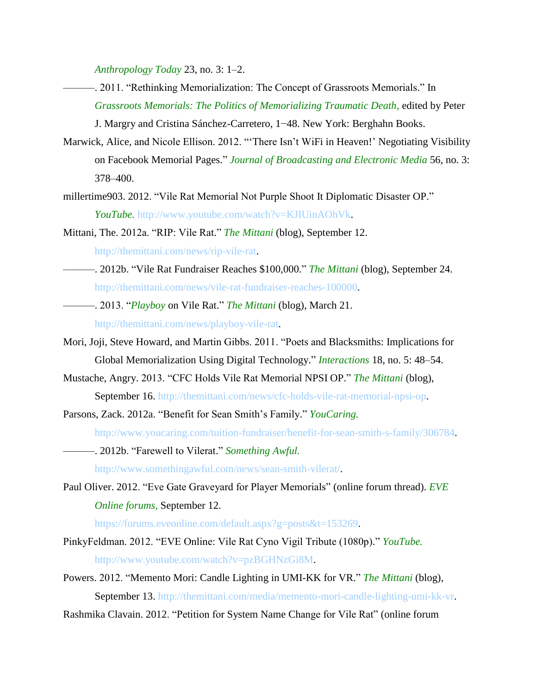*Anthropology Today* 23, no. 3: 1–2.

- ———. 2011. "Rethinking Memorialization: The Concept of Grassroots Memorials." In *Grassroots Memorials: The Politics of Memorializing Traumatic Death,* edited by Peter J. Margry and Cristina Sánchez-Carretero, 1−48. New York: Berghahn Books.
- Marwick, Alice, and Nicole Ellison. 2012. "'There Isn't WiFi in Heaven!' Negotiating Visibility on Facebook Memorial Pages." *Journal of Broadcasting and Electronic Media* 56, no. 3: 378–400.
- millertime903. 2012. "Vile Rat Memorial Not Purple Shoot It Diplomatic Disaster OP." *YouTube.* http://www.youtube.com/watch?v=KJIUinAOhVk.
- Mittani, The. 2012a. "RIP: Vile Rat." *The Mittani* (blog), September 12. http://themittani.com/news/rip-vile-rat.
- ———. 2012b. "Vile Rat Fundraiser Reaches \$100,000." *The Mittani* (blog), September 24. http://themittani.com/news/vile-rat-fundraiser-reaches-100000.
- ———. 2013. "*Playboy* on Vile Rat." *The Mittani* (blog), March 21. http://themittani.com/news/playboy-vile-rat.
- Mori, Joji, Steve Howard, and Martin Gibbs. 2011. "Poets and Blacksmiths: Implications for Global Memorialization Using Digital Technology." *Interactions* 18, no. 5: 48–54.
- Mustache, Angry. 2013. "CFC Holds Vile Rat Memorial NPSI OP." *The Mittani* (blog), September 16. http://themittani.com/news/cfc-holds-vile-rat-memorial-npsi-op.
- Parsons, Zack. 2012a. "Benefit for Sean Smith's Family." *YouCaring.*

http://www.youcaring.com/tuition-fundraiser/benefit-for-sean-smith-s-family/306784.

———. 2012b. "Farewell to Vilerat." *Something Awful.*

http://www.somethingawful.com/news/sean-smith-vilerat/.

Paul Oliver. 2012. "Eve Gate Graveyard for Player Memorials" (online forum thread). *EVE Online forums,* September 12.

https://forums.eveonline.com/default.aspx?g=posts&t=153269.

- PinkyFeldman. 2012. "EVE Online: Vile Rat Cyno Vigil Tribute (1080p)." *YouTube.* http://www.youtube.com/watch?v=pzBGHNzGi8M.
- Powers. 2012. "Memento Mori: Candle Lighting in UMI-KK for VR." *The Mittani* (blog), September 13. http://themittani.com/media/memento-mori-candle-lighting-umi-kk-vr.
- Rashmika Clavain. 2012. "Petition for System Name Change for Vile Rat" (online forum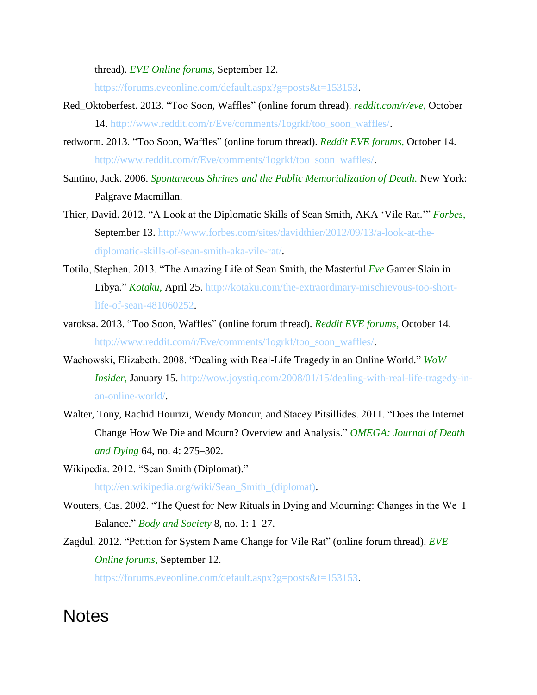thread). *EVE Online forums,* September 12.

https://forums.eveonline.com/default.aspx?g=posts&t=153153.

- Red\_Oktoberfest. 2013. "Too Soon, Waffles" (online forum thread). *reddit.com/r/eve,* October 14. http://www.reddit.com/r/Eve/comments/1ogrkf/too\_soon\_waffles/.
- redworm. 2013. "Too Soon, Waffles" (online forum thread). *Reddit EVE forums,* October 14. http://www.reddit.com/r/Eve/comments/1ogrkf/too\_soon\_waffles/.
- Santino, Jack. 2006. *Spontaneous Shrines and the Public Memorialization of Death.* New York: Palgrave Macmillan.
- Thier, David. 2012. "A Look at the Diplomatic Skills of Sean Smith, AKA 'Vile Rat.'" *Forbes,* September 13. http://www.forbes.com/sites/davidthier/2012/09/13/a-look-at-thediplomatic-skills-of-sean-smith-aka-vile-rat/.
- Totilo, Stephen. 2013. "The Amazing Life of Sean Smith, the Masterful *Eve* Gamer Slain in Libya." *Kotaku,* April 25. http://kotaku.com/the-extraordinary-mischievous-too-shortlife-of-sean-481060252.
- varoksa. 2013. "Too Soon, Waffles" (online forum thread). *Reddit EVE forums,* October 14. http://www.reddit.com/r/Eve/comments/1ogrkf/too\_soon\_waffles/.
- Wachowski, Elizabeth. 2008. "Dealing with Real-Life Tragedy in an Online World." *WoW Insider,* January 15. http://wow.joystiq.com/2008/01/15/dealing-with-real-life-tragedy-inan-online-world/.
- Walter, Tony, Rachid Hourizi, Wendy Moncur, and Stacey Pitsillides. 2011. "Does the Internet Change How We Die and Mourn? Overview and Analysis." *OMEGA: Journal of Death and Dying* 64, no. 4: 275–302.
- Wikipedia. 2012. "Sean Smith (Diplomat)." http://en.wikipedia.org/wiki/Sean\_Smith\_(diplomat).
- Wouters, Cas. 2002. "The Quest for New Rituals in Dying and Mourning: Changes in the We–I Balance." *Body and Society* 8, no. 1: 1–27.
- Zagdul. 2012. "Petition for System Name Change for Vile Rat" (online forum thread). *EVE Online forums,* September 12.

https://forums.eveonline.com/default.aspx?g=posts&t=153153.

### **Notes**